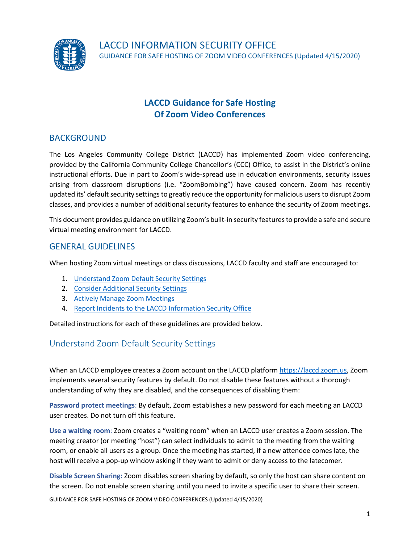

# **LACCD Guidance for Safe Hosting Of Zoom Video Conferences**

### BACKGROUND

The Los Angeles Community College District (LACCD) has implemented Zoom video conferencing, provided by the California Community College Chancellor's (CCC) Office, to assist in the District's online instructional efforts. Due in part to Zoom's wide-spread use in education environments, security issues arising from classroom disruptions (i.e. "ZoomBombing") have caused concern. Zoom has recently updated its' default security settings to greatly reduce the opportunity for malicious users to disrupt Zoom classes, and provides a number of additional security features to enhance the security of Zoom meetings.

This document provides guidance on utilizing Zoom's built-in security features to provide a safe and secure virtual meeting environment for LACCD.

### GENERAL GUIDELINES

When hosting Zoom virtual meetings or class discussions, LACCD faculty and staff are encouraged to:

- 1. [Understand Zoom Default Security Settings](#page-0-0)
- 2. [Consider Additional Security Settings](#page-1-0)
- 3. [Actively Manage Zoom Meetings](#page-3-0)
- 4. [Report Incidents to the LACCD Information Security Office](#page-5-0)

Detailed instructions for each of these guidelines are provided below.

## <span id="page-0-0"></span>Understand Zoom Default Security Settings

When an LACCD employee creates a Zoom account on the LACCD platfor[m https://laccd.zoom.us,](https://laccd.zoom.us/) Zoom implements several security features by default. Do not disable these features without a thorough understanding of why they are disabled, and the consequences of disabling them:

**Password protect meetings**: By default, Zoom establishes a new password for each meeting an LACCD user creates. Do not turn off this feature.

**Use a waiting room**: Zoom creates a "waiting room" when an LACCD user creates a Zoom session. The meeting creator (or meeting "host") can select individuals to admit to the meeting from the waiting room, or enable all users as a group. Once the meeting has started, if a new attendee comes late, the host will receive a pop-up window asking if they want to admit or deny access to the latecomer.

**Disable Screen Sharing:** Zoom disables screen sharing by default, so only the host can share content on the screen. Do not enable screen sharing until you need to invite a specific user to share their screen.

GUIDANCE FOR SAFE HOSTING OF ZOOM VIDEO CONFERENCES (Updated 4/15/2020)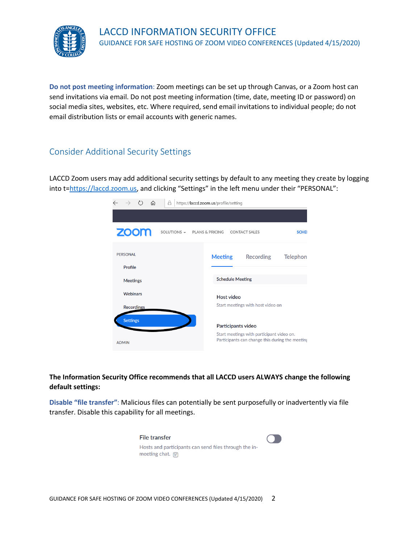

**Do not post meeting information**: Zoom meetings can be set up through Canvas, or a Zoom host can send invitations via email. Do not post meeting information (time, date, meeting ID or password) on social media sites, websites, etc. Where required, send email invitations to individual people; do not email distribution lists or email accounts with generic names.

## <span id="page-1-0"></span>Consider Additional Security Settings

LACCD Zoom users may add additional security settings by default to any meeting they create by logging into t[=https://laccd.zoom.us](https://laccd.zoom.us/), and clicking "Settings" in the left menu under their "PERSONAL":



#### **The Information Security Office recommends that all LACCD users ALWAYS change the following default settings:**

**Disable "file transfer"**: Malicious files can potentially be sent purposefully or inadvertently via file transfer. Disable this capability for all meetings.

| File transfer                                                                     |  |
|-----------------------------------------------------------------------------------|--|
| Hosts and participants can send files through the in-<br>meeting chat. $\sqrt{v}$ |  |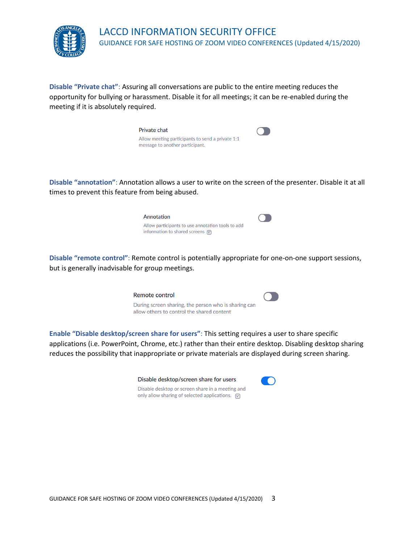

**Disable "Private chat"**: Assuring all conversations are public to the entire meeting reduces the opportunity for bullying or harassment. Disable it for all meetings; it can be re-enabled during the meeting if it is absolutely required.



**Disable "annotation"**: Annotation allows a user to write on the screen of the presenter. Disable it at all times to prevent this feature from being abused.

| Annotation                                                                                    |  |
|-----------------------------------------------------------------------------------------------|--|
| Allow participants to use annotation tools to add<br>information to shared screens $\sqrt{v}$ |  |

**Disable "remote control"**: Remote control is potentially appropriate for one-on-one support sessions, but is generally inadvisable for group meetings.

Remote control



**CO** 

During screen sharing, the person who is sharing can allow others to control the shared content

**Enable "Disable desktop/screen share for users"**: This setting requires a user to share specific applications (i.e. PowerPoint, Chrome, etc.) rather than their entire desktop. Disabling desktop sharing reduces the possibility that inappropriate or private materials are displayed during screen sharing.

| Disable desktop/screen share for users                             |
|--------------------------------------------------------------------|
| Disable desktop or screen share in a meeting and                   |
| only allow sharing of selected applications. $\boxed{\mathcal{R}}$ |

|  | GUIDANCE FOR SAFE HOSTING OF ZOOM VIDEO CONFERENCES (Updated 4/15/2020) 3 |  |
|--|---------------------------------------------------------------------------|--|
|--|---------------------------------------------------------------------------|--|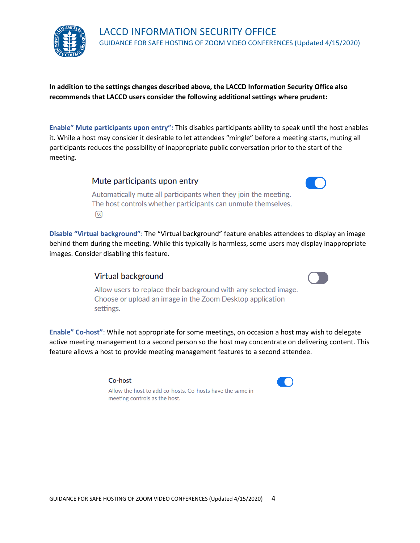

**In addition to the settings changes described above, the LACCD Information Security Office also recommends that LACCD users consider the following additional settings where prudent:**

**Enable" Mute participants upon entry":** This disables participants ability to speak until the host enables it. While a host may consider it desirable to let attendees "mingle" before a meeting starts, muting all participants reduces the possibility of inappropriate public conversation prior to the start of the meeting.

Mute participants upon entry



Automatically mute all participants when they join the meeting. The host controls whether participants can unmute themselves.  $\left[\overline{V}\right]$ 

**Disable "Virtual background"**: The "Virtual background" feature enables attendees to display an image behind them during the meeting. While this typically is harmless, some users may display inappropriate images. Consider disabling this feature.

### **Virtual background**



Allow users to replace their background with any selected image. Choose or upload an image in the Zoom Desktop application settings.

**Enable" Co-host"**: While not appropriate for some meetings, on occasion a host may wish to delegate active meeting management to a second person so the host may concentrate on delivering content. This feature allows a host to provide meeting management features to a second attendee.

#### Co-host



<span id="page-3-0"></span>Allow the host to add co-hosts. Co-hosts have the same inmeeting controls as the host.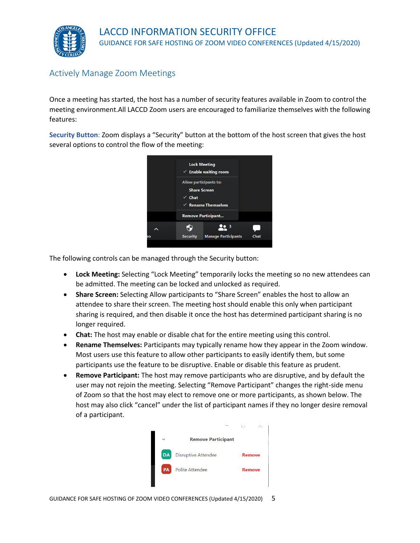

## Actively Manage Zoom Meetings

Once a meeting has started, the host has a number of security features available in Zoom to control the meeting environment.All LACCD Zoom users are encouraged to familiarize themselves with the following features:

**Security Button**: Zoom displays a "Security" button at the bottom of the host screen that gives the host several options to control the flow of the meeting:



The following controls can be managed through the Security button:

- **Lock Meeting:** Selecting "Lock Meeting" temporarily locks the meeting so no new attendees can be admitted. The meeting can be locked and unlocked as required.
- **Share Screen:** Selecting Allow participants to "Share Screen" enables the host to allow an attendee to share their screen. The meeting host should enable this only when participant sharing is required, and then disable it once the host has determined participant sharing is no longer required.
- **Chat:** The host may enable or disable chat for the entire meeting using this control.
- **Rename Themselves:** Participants may typically rename how they appear in the Zoom window. Most users use this feature to allow other participants to easily identify them, but some participants use the feature to be disruptive. Enable or disable this feature as prudent.
- **Remove Participant:** The host may remove participants who are disruptive, and by default the user may not rejoin the meeting. Selecting "Remove Participant" changes the right-side menu of Zoom so that the host may elect to remove one or more participants, as shown below. The host may also click "cancel" under the list of participant names if they no longer desire removal of a participant.